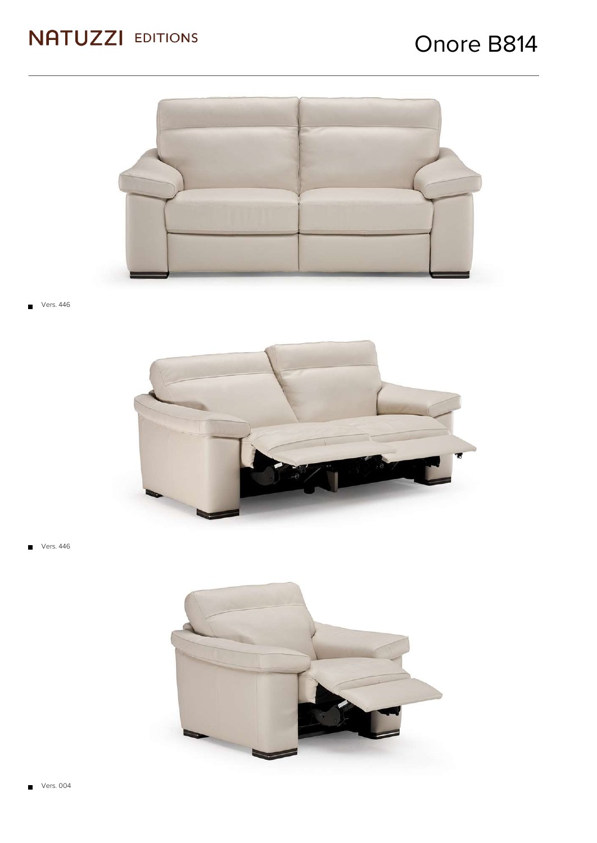

Vers. 446



Vers. 446  $\blacksquare$ 

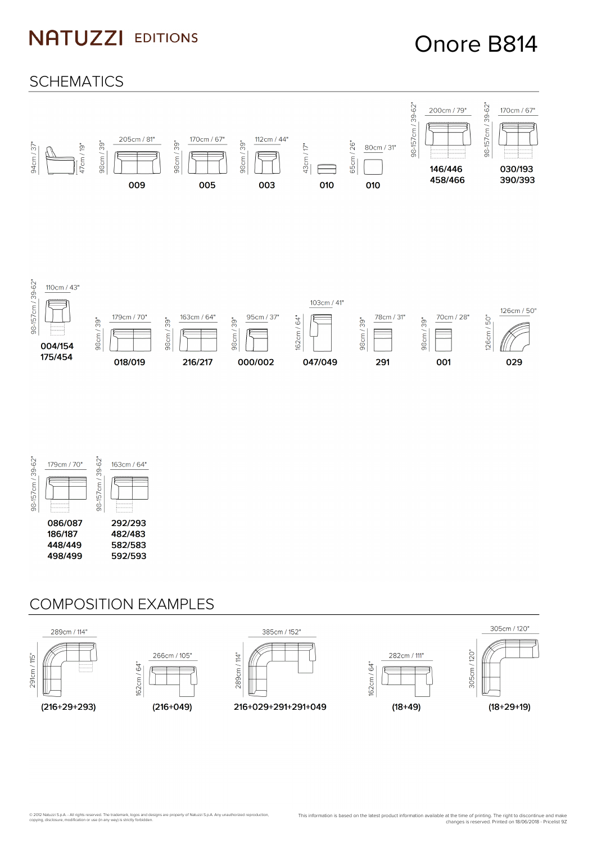## Onore B814







#### COMPOSITION EXAMPLES

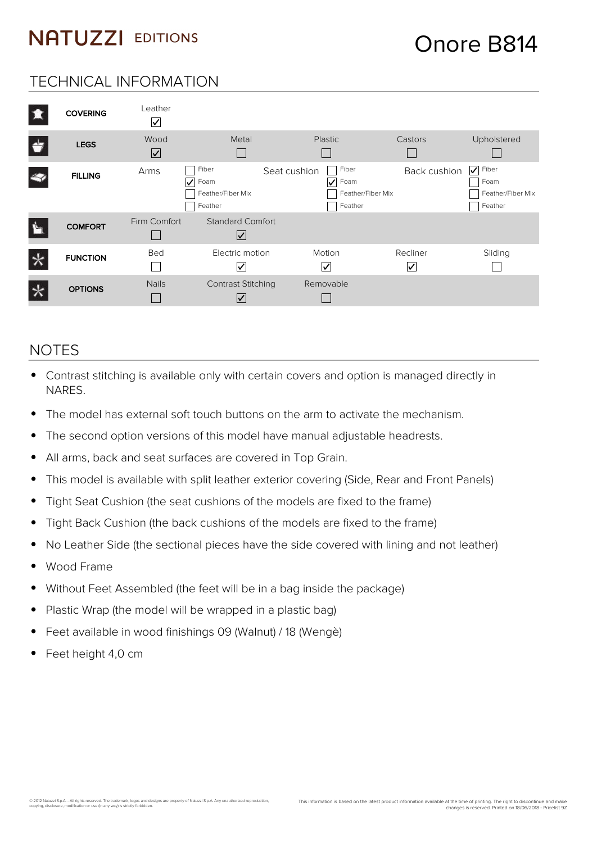### Onore B814

#### TECHNICAL INFORMATION

| <b>COVERING</b> | Leather<br>$\vert\!\sqrt{2}\vert$ |                                                    |                                                                    |               |                                                                          |
|-----------------|-----------------------------------|----------------------------------------------------|--------------------------------------------------------------------|---------------|--------------------------------------------------------------------------|
| <b>LEGS</b>     | Wood<br>⊻                         | Metal                                              | <b>Plastic</b>                                                     | Castors       | Upholstered                                                              |
| <b>FILLING</b>  | Arms<br>$\vert\mathcal{V}\vert$   | Fiber<br>Foam<br>Feather/Fiber Mix<br>Feather      | Fiber<br>Seat cushion<br>Foam<br>☑<br>Feather/Fiber Mix<br>Feather | Back cushion  | $\overline{\mathsf{v}}$<br>Fiber<br>Foam<br>Feather/Fiber Mix<br>Feather |
| <b>COMFORT</b>  | Firm Comfort                      | <b>Standard Comfort</b><br>$\vert\mathcal{V}\vert$ |                                                                    |               |                                                                          |
| <b>FUNCTION</b> | Bed                               | Electric motion<br>∣✓                              | Motion<br>V                                                        | Recliner<br>V | Sliding                                                                  |
| <b>OPTIONS</b>  | <b>Nails</b>                      | <b>Contrast Stitching</b><br>$\vee$                | Removable                                                          |               |                                                                          |

#### **NOTES**

- Contrast stitching is available only with certain covers and option is managed directly in NARES.
- The model has external soft touch buttons on the arm to activate the mechanism.
- The second option versions of this model have manual adjustable headrests.  $\bullet$
- All arms, back and seat surfaces are covered in Top Grain.  $\bullet$
- This model is available with split leather exterior covering (Side, Rear and Front Panels)  $\bullet$
- Tight Seat Cushion (the seat cushions of the models are fixed to the frame)  $\bullet$
- Tight Back Cushion (the back cushions of the models are fixed to the frame)
- No Leather Side (the sectional pieces have the side covered with lining and not leather)
- Wood Frame
- Without Feet Assembled (the feet will be in a bag inside the package)
- Plastic Wrap (the model will be wrapped in a plastic bag)  $\bullet$
- Feet available in wood finishings 09 (Walnut) / 18 (Wengè)

© 2012 Natuzzi S.p.A. - All rights reserved. The trademark, logos and designs are property of Natuzzi S.p.A. Any unauthorized reproduction,<br>copying, disclosure, modification or use (in any way) is strictly forbidden.

Feet height 4,0 cm